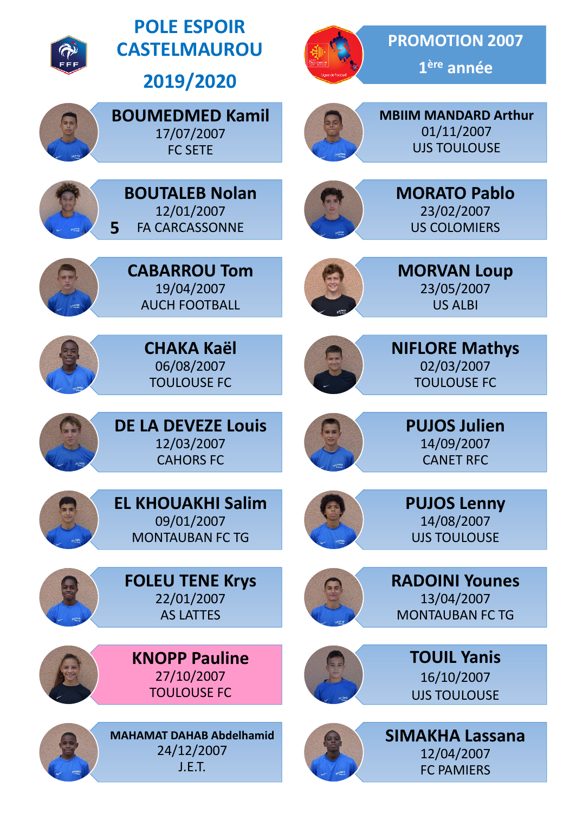

**5**

**POLE ESPOIR CASTELMAUROU**

**2019/2020**

**BOUMEDMED Kamil** 17/07/2007 FC SETE

**BOUTALEB Nolan** 12/01/2007 FA CARCASSONNE

**CABARROU Tom** 19/04/2007 AUCH FOOTBALL

> **CHAKA Kaël** 06/08/2007 TOULOUSE FC



**1ère année**

**PROMOTION 2007**



**MBIIM MANDARD Arthur** 01/11/2007 UJS TOULOUSE



**MORATO Pablo** 23/02/2007 US COLOMIERS



**MORVAN Loup** 23/05/2007 US ALBI



**NIFLORE Mathys** 02/03/2007 TOULOUSE FC

> **PUJOS Julien** 14/09/2007 CANET RFC

> **PUJOS Lenny** 14/08/2007 UJS TOULOUSE



**DE LA DEVEZE Louis** 12/03/2007 CAHORS FC



**EL KHOUAKHI Salim** 09/01/2007 MONTAUBAN FC TG



**RADOINI Younes** 13/04/2007 MONTAUBAN FC TG



**TOUIL Yanis** 16/10/2007 UJS TOULOUSE



**SIMAKHA Lassana** 12/04/2007 FC PAMIERS





**FOLEU TENE Krys** 22/01/2007 AS LATTES

**KNOPP Pauline** 27/10/2007 TOULOUSE FC



**MAHAMAT DAHAB Abdelhamid** 24/12/2007 J.E.T.